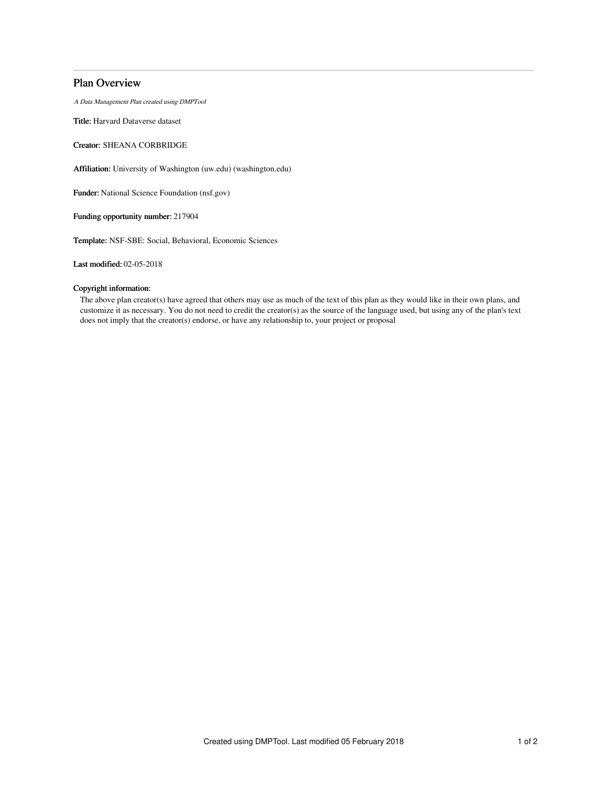## Plan Overview

A Data Management Plan created using DMPTool

Title: Harvard Dataverse dataset

Creator: SHEANA CORBRIDGE

Affiliation: University of Washington (uw.edu) (washington.edu)

Funder: National Science Foundation (nsf.gov)

Funding opportunity number: 217904

Template: NSF-SBE: Social, Behavioral, Economic Sciences

Last modified: 02-05-2018

## Copyright information:

The above plan creator(s) have agreed that others may use as much of the text of this plan as they would like in their own plans, and customize it as necessary. You do not need to credit the creator(s) as the source of the language used, but using any of the plan's text does not imply that the creator(s) endorse, or have any relationship to, your project or proposal